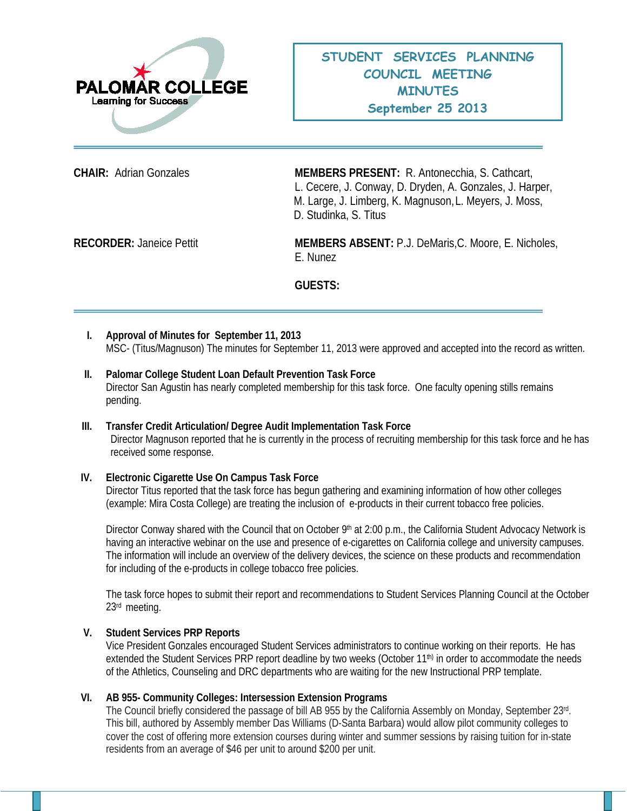

**CHAIR:** Adrian Gonzales **MEMBERS PRESENT:** R. Antonecchia, S. Cathcart, L. Cecere, J. Conway, D. Dryden, A. Gonzales, J. Harper, M. Large, J. Limberg, K. Magnuson,L. Meyers, J. Moss, D. Studinka, S. Titus

**RECORDER:** Janeice Pettit **MEMBERS ABSENT:** P.J. DeMaris,C. Moore, E. Nicholes, E. Nunez

**GUESTS:**

- **I. Approval of Minutes for September 11, 2013** MSC- (Titus/Magnuson) The minutes for September 11, 2013 were approved and accepted into the record as written.
- **II. Palomar College Student Loan Default Prevention Task Force** Director San Agustin has nearly completed membership for this task force. One faculty opening stills remains pending.
- **III. Transfer Credit Articulation/ Degree Audit Implementation Task Force** Director Magnuson reported that he is currently in the process of recruiting membership for this task force and he has received some response.

## **IV. Electronic Cigarette Use On Campus Task Force**

Director Titus reported that the task force has begun gathering and examining information of how other colleges (example: Mira Costa College) are treating the inclusion of e-products in their current tobacco free policies.

Director Conway shared with the Council that on October 9<sup>th</sup> at 2:00 p.m., the California Student Advocacy Network is having an interactive webinar on the use and presence of e-cigarettes on California college and university campuses. The information will include an overview of the delivery devices, the science on these products and recommendation for including of the e-products in college tobacco free policies.

The task force hopes to submit their report and recommendations to Student Services Planning Council at the October 23rd meeting.

## **V. Student Services PRP Reports**

Vice President Gonzales encouraged Student Services administrators to continue working on their reports. He has extended the Student Services PRP report deadline by two weeks (October 11<sup>th)</sup> in order to accommodate the needs of the Athletics, Counseling and DRC departments who are waiting for the new Instructional PRP template.

## **VI. AB 955- Community Colleges: Intersession Extension Programs**

The Council briefly considered the passage of bill AB 955 by the California Assembly on Monday, September 23rd. This bill, authored by Assembly member Das Williams (D-Santa Barbara) would allow pilot community colleges to cover the cost of offering more extension courses during winter and summer sessions by raising tuition for in-state residents from an average of \$46 per unit to around \$200 per unit.